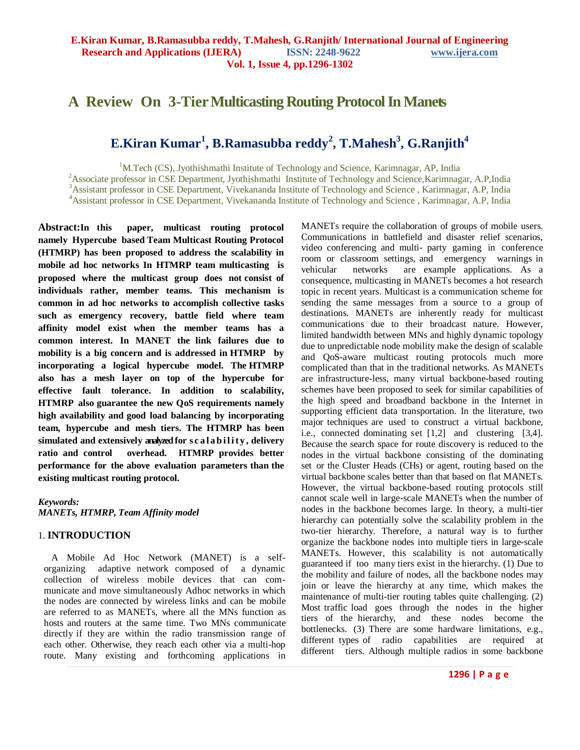# **A Review On 3-TierMulticasting Routing ProtocolIn Manets**

# **E.Kiran Kumar<sup>1</sup> , B.Ramasubba reddy<sup>2</sup> , T.Mahesh<sup>3</sup> , G.Ranjith<sup>4</sup>**

<sup>1</sup>M.Tech (CS), Jyothishmathi Institute of Technology and Science, Karimnagar, AP, India

<sup>2</sup>Associate professor in CSE Department, Jyothishmathi Institute of Technology and Science, Karimnagar, A.P, India

<sup>3</sup>Assistant professor in CSE Department, Vivekananda Institute of Technology and Science , Karimnagar, A.P, India

<sup>4</sup> Assistant professor in CSE Department, Vivekananda Institute of Technology and Science, Karimnagar, A.P, India

**Abstract:In this paper, multicast routing protocol namely Hypercube based Team Multicast Routing Protocol (HTMRP) has been proposed to address the scalability in mobile ad hoc networks In HTMRP team multicasting is proposed where the multicast group does not consist of individuals rather, member teams. This mechanism is common in ad hoc networks to accomplish collective tasks such as emergency recovery, battle field where team affinity model exist when the member teams has a common interest. In MANET the link failures due to mobility is a big concern and is addressed in HTMRP by incorporating a logical hypercube model. The HTMRP also has a mesh layer on top of the hypercube for effective fault tolerance. In addition to scalability, HTMRP also guarantee the new QoS requirements namely high availability and good load balancing by incorporating team, hypercube and mesh tiers. The HTMRP has been simulated and extensively analyzedfor s c a l a b i l i t y , delivery ratio and control overhead. HTMRP provides better performance for the above evaluation parameters than the existing multicast routing protocol.**

*Keywords: MANETs, HTMRP, Team Affinity model*

## 1. **INTRODUCTION**

 A Mobile Ad Hoc Network (MANET) is a selforganizing adaptive network composed of a dynamic collection of wireless mobile devices that can communicate and move simultaneously Adhoc networks in which the nodes are connected by wireless links and can be mobile are referred to as MANETs, where all the MNs function as hosts and routers at the same time. Two MNs communicate directly if they are within the radio transmission range of each other. Otherwise, they reach each other via a multi-hop route. Many existing and forthcoming applications in MANETs require the collaboration of groups of mobile users. Communications in battlefield and disaster relief scenarios, video conferencing and multi- party gaming in conference room or classroom settings, and emergency warnings in vehicular networks are example applications. As a consequence, multicasting in MANETs becomes a hot research topic in recent years. Multicast is a communication scheme for sending the same messages from a source to a group of destinations. MANETs are inherently ready for multicast communications due to their broadcast nature. However, limited bandwidth between MNs and highly dynamic topology due to unpredictable node mobility make the design of scalable and QoS-aware multicast routing protocols much more complicated than that in the traditional networks. As MANETs are infrastructure-less, many virtual backbone-based routing schemes have been proposed to seek for similar capabilities of the high speed and broadband backbone in the Internet in supporting efficient data transportation. In the literature, two major techniques are used to construct a virtual backbone, i.e., connected dominating set [1,2] and clustering [3,4]. Because the search space for route discovery is reduced to the nodes in the virtual backbone consisting of the dominating set or the Cluster Heads (CHs) or agent, routing based on the virtual backbone scales better than that based on flat MANETs. However, the virtual backbone-based routing protocols still cannot scale well in large-scale MANETs when the number of nodes in the backbone becomes large. In theory, a multi-tier hierarchy can potentially solve the scalability problem in the two-tier hierarchy. Therefore, a natural way is to further organize the backbone nodes into multiple tiers in large-scale MANETs. However, this scalability is not automatically guaranteed if too many tiers exist in the hierarchy. (1) Due to the mobility and failure of nodes, all the backbone nodes may join or leave the hierarchy at any time, which makes the maintenance of multi-tier routing tables quite challenging. (2) Most traffic load goes through the nodes in the higher tiers of the hierarchy, and these nodes become the bottlenecks. (3) There are some hardware limitations, e.g., different types of radio capabilities are required at different tiers. Although multiple radios in some backbone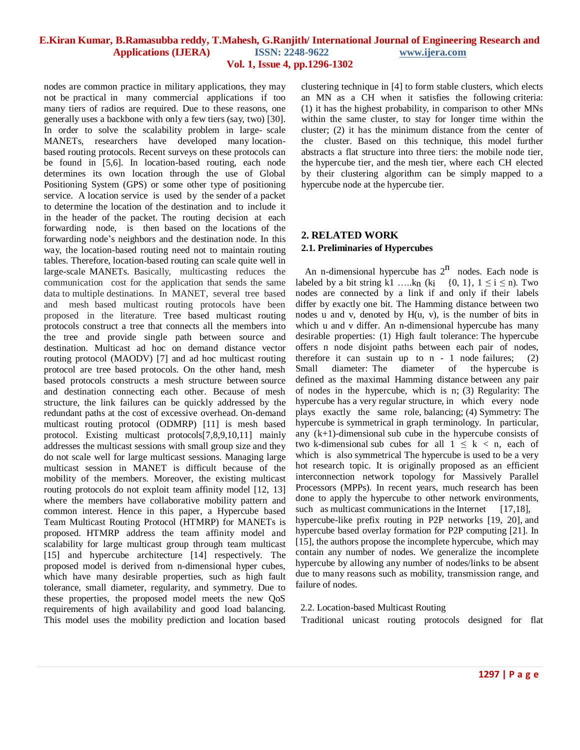nodes are common practice in military applications, they may not be practical in many commercial applications if too many tiers of radios are required. Due to these reasons, one generally uses a backbone with only a few tiers (say, two) [30]. In order to solve the scalability problem in large- scale MANETs, researchers have developed many locationbased routing protocols. Recent surveys on these protocols can be found in [5,6]. In location-based routing, each node determines its own location through the use of Global Positioning System (GPS) or some other type of positioning service. A location service is used by the sender of a packet to determine the location of the destination and to include it in the header of the packet. The routing decision at each forwarding node, is then based on the locations of the forwarding node's neighbors and the destination node. In this way, the location-based routing need not to maintain routing tables. Therefore, location-based routing can scale quite well in large-scale MANETs. Basically, multicasting reduces the communication cost for the application that sends the same data to multiple destinations. In MANET, several tree based and mesh based multicast routing protocols have been proposed in the literature. Tree based multicast routing protocols construct a tree that connects all the members into the tree and provide single path between source and destination. Multicast ad hoc on demand distance vector routing protocol (MAODV) [7] and ad hoc multicast routing protocol are tree based protocols. On the other hand, mesh based protocols constructs a mesh structure between source and destination connecting each other. Because of mesh structure, the link failures can be quickly addressed by the redundant paths at the cost of excessive overhead. On-demand multicast routing protocol (ODMRP) [11] is mesh based protocol. Existing multicast protocols[7,8,9,10,11] mainly addresses the multicast sessions with small group size and they do not scale well for large multicast sessions. Managing large multicast session in MANET is difficult because of the mobility of the members. Moreover, the existing multicast routing protocols do not exploit team affinity model [12, 13] where the members have collaborative mobility pattern and common interest. Hence in this paper, a Hypercube based Team Multicast Routing Protocol (HTMRP) for MANETs is proposed. HTMRP address the team affinity model and scalability for large multicast group through team multicast [15] and hypercube architecture [14] respectively. The proposed model is derived from n-dimensional hyper cubes, which have many desirable properties, such as high fault tolerance, small diameter, regularity, and symmetry. Due to these properties, the proposed model meets the new QoS requirements of high availability and good load balancing. This model uses the mobility prediction and location based

clustering technique in [4] to form stable clusters, which elects an MN as a CH when it satisfies the following criteria: (1) it has the highest probability, in comparison to other MNs within the same cluster, to stay for longer time within the cluster; (2) it has the minimum distance from the center of the cluster. Based on this technique, this model further abstracts a flat structure into three tiers: the mobile node tier, the hypercube tier, and the mesh tier, where each CH elected by their clustering algorithm can be simply mapped to a hypercube node at the hypercube tier.

## **2. RELATED WORK**

#### **2.1. Preliminaries of Hypercubes**

An n-dimensional hypercube has  $2<sup>n</sup>$  nodes. Each node is labeled by a bit string k1 …..k<sub>n</sub> (k<sub>i</sub> {0, 1},  $1 \le i \le n$ ). Two nodes are connected by a link if and only if their labels differ by exactly one bit. The Hamming distance between two nodes u and v, denoted by H(u, v), is the number of bits in which u and v differ. An n-dimensional hypercube has many desirable properties: (1) High fault tolerance: The hypercube offers n node disjoint paths between each pair of nodes, therefore it can sustain up to  $n - 1$  node failures; (2) Small diameter: The diameter of the hypercube is defined as the maximal Hamming distance between any pair of nodes in the hypercube, which is n; (3) Regularity: The hypercube has a very regular structure, in which every node plays exactly the same role, balancing; (4) Symmetry: The hypercube is symmetrical in graph terminology. In particular, any  $(k+1)$ -dimensional sub cube in the hypercube consists of two k-dimensional sub cubes for all  $1 \leq k < n$ , each of which is also symmetrical The hypercube is used to be a very hot research topic. It is originally proposed as an efficient interconnection network topology for Massively Parallel Processors (MPPs). In recent years, much research has been done to apply the hypercube to other network environments, such as multicast communications in the Internet [17,18], hypercube-like prefix routing in P2P networks [19, 20], and hypercube based overlay formation for P2P computing [21]. In [15], the authors propose the incomplete hypercube, which may contain any number of nodes. We generalize the incomplete hypercube by allowing any number of nodes/links to be absent due to many reasons such as mobility, transmission range, and failure of nodes.

#### 2.2. Location-based Multicast Routing

Traditional unicast routing protocols designed for flat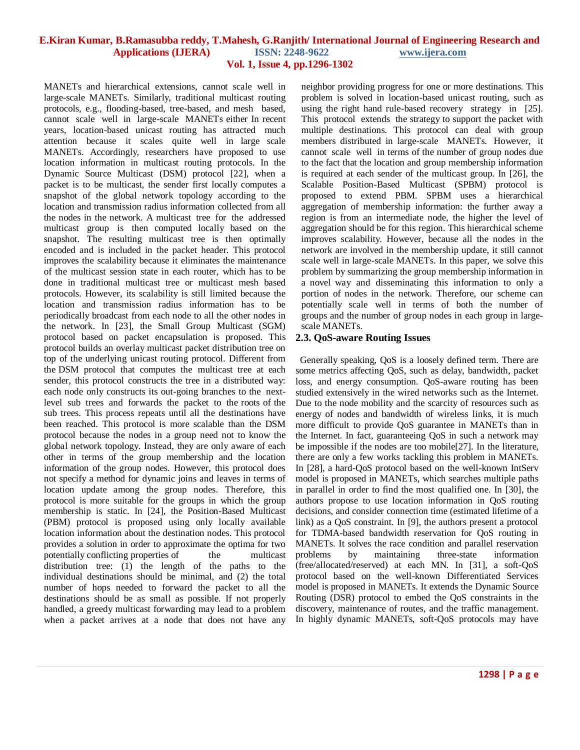MANETs and hierarchical extensions, cannot scale well in large-scale MANETs. Similarly, traditional multicast routing protocols, e.g., flooding-based, tree-based, and mesh based, cannot scale well in large-scale MANETs either In recent years, location-based unicast routing has attracted much attention because it scales quite well in large scale MANETs. Accordingly, researchers have proposed to use location information in multicast routing protocols. In the Dynamic Source Multicast (DSM) protocol [22], when a packet is to be multicast, the sender first locally computes a snapshot of the global network topology according to the location and transmission radius information collected from all the nodes in the network. A multicast tree for the addressed multicast group is then computed locally based on the snapshot. The resulting multicast tree is then optimally encoded and is included in the packet header. This protocol improves the scalability because it eliminates the maintenance of the multicast session state in each router, which has to be done in traditional multicast tree or multicast mesh based protocols. However, its scalability is still limited because the location and transmission radius information has to be periodically broadcast from each node to all the other nodes in the network. In [23], the Small Group Multicast (SGM) protocol based on packet encapsulation is proposed. This protocol builds an overlay multicast packet distribution tree on top of the underlying unicast routing protocol. Different from the DSM protocol that computes the multicast tree at each sender, this protocol constructs the tree in a distributed way: each node only constructs its out-going branches to the nextlevel sub trees and forwards the packet to the roots of the sub trees. This process repeats until all the destinations have been reached. This protocol is more scalable than the DSM protocol because the nodes in a group need not to know the global network topology. Instead, they are only aware of each other in terms of the group membership and the location information of the group nodes. However, this protocol does not specify a method for dynamic joins and leaves in terms of location update among the group nodes. Therefore, this protocol is more suitable for the groups in which the group membership is static. In [24], the Position-Based Multicast (PBM) protocol is proposed using only locally available location information about the destination nodes. This protocol provides a solution in order to approximate the optima for two potentially conflicting properties of the multicast distribution tree: (1) the length of the paths to the individual destinations should be minimal, and (2) the total number of hops needed to forward the packet to all the destinations should be as small as possible. If not properly handled, a greedy multicast forwarding may lead to a problem when a packet arrives at a node that does not have any

neighbor providing progress for one or more destinations. This problem is solved in location-based unicast routing, such as using the right hand rule-based recovery strategy in [25]. This protocol extends the strategy to support the packet with multiple destinations. This protocol can deal with group members distributed in large-scale MANETs. However, it cannot scale well in terms of the number of group nodes due to the fact that the location and group membership information is required at each sender of the multicast group. In [26], the Scalable Position-Based Multicast (SPBM) protocol is proposed to extend PBM. SPBM uses a hierarchical aggregation of membership information: the further away a region is from an intermediate node, the higher the level of aggregation should be for this region. This hierarchical scheme improves scalability. However, because all the nodes in the network are involved in the membership update, it still cannot scale well in large-scale MANETs. In this paper, we solve this problem by summarizing the group membership information in a novel way and disseminating this information to only a portion of nodes in the network. Therefore, our scheme can potentially scale well in terms of both the number of groups and the number of group nodes in each group in largescale MANETs.

#### **2.3. QoS-aware Routing Issues**

Generally speaking, QoS is a loosely defined term. There are some metrics affecting QoS, such as delay, bandwidth, packet loss, and energy consumption. QoS-aware routing has been studied extensively in the wired networks such as the Internet. Due to the node mobility and the scarcity of resources such as energy of nodes and bandwidth of wireless links, it is much more difficult to provide QoS guarantee in MANETs than in the Internet. In fact, guaranteeing QoS in such a network may be impossible if the nodes are too mobile[27]. In the literature, there are only a few works tackling this problem in MANETs. In [28], a hard-QoS protocol based on the well-known IntServ model is proposed in MANETs, which searches multiple paths in parallel in order to find the most qualified one. In [30], the authors propose to use location information in QoS routing decisions, and consider connection time (estimated lifetime of a link) as a QoS constraint. In [9], the authors present a protocol for TDMA-based bandwidth reservation for QoS routing in MANETs. It solves the race condition and parallel reservation problems by maintaining three-state information (free/allocated/reserved) at each MN. In [31], a soft-QoS protocol based on the well-known Differentiated Services model is proposed in MANETs. It extends the Dynamic Source Routing (DSR) protocol to embed the QoS constraints in the discovery, maintenance of routes, and the traffic management. In highly dynamic MANETs, soft-QoS protocols may have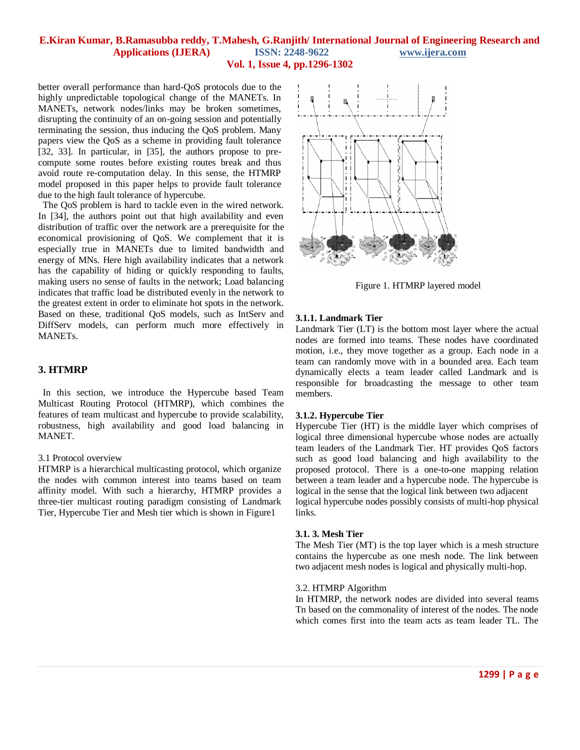better overall performance than hard-QoS protocols due to the highly unpredictable topological change of the MANETs. In MANETs, network nodes/links may be broken sometimes, disrupting the continuity of an on-going session and potentially terminating the session, thus inducing the QoS problem. Many papers view the QoS as a scheme in providing fault tolerance [32, 33]. In particular, in [35], the authors propose to precompute some routes before existing routes break and thus avoid route re-computation delay. In this sense, the HTMRP model proposed in this paper helps to provide fault tolerance due to the high fault tolerance of hypercube.

 The QoS problem is hard to tackle even in the wired network. In [34], the authors point out that high availability and even distribution of traffic over the network are a prerequisite for the economical provisioning of QoS. We complement that it is especially true in MANETs due to limited bandwidth and energy of MNs. Here high availability indicates that a network has the capability of hiding or quickly responding to faults, making users no sense of faults in the network; Load balancing indicates that traffic load be distributed evenly in the network to the greatest extent in order to eliminate hot spots in the network. Based on these, traditional QoS models, such as IntServ and DiffServ models, can perform much more effectively in MANETs.

## **3. HTMRP**

 In this section, we introduce the Hypercube based Team Multicast Routing Protocol (HTMRP), which combines the features of team multicast and hypercube to provide scalability, robustness, high availability and good load balancing in MANET.

#### 3.1 Protocol overview

HTMRP is a hierarchical multicasting protocol, which organize the nodes with common interest into teams based on team affinity model. With such a hierarchy, HTMRP provides a three-tier multicast routing paradigm consisting of Landmark Tier, Hypercube Tier and Mesh tier which is shown in Figure1



Figure 1. HTMRP layered model

## **3.1.1. Landmark Tier**

Landmark Tier (LT) is the bottom most layer where the actual nodes are formed into teams. These nodes have coordinated motion, i.e., they move together as a group. Each node in a team can randomly move with in a bounded area. Each team dynamically elects a team leader called Landmark and is responsible for broadcasting the message to other team members.

#### **3.1.2. Hypercube Tier**

Hypercube Tier (HT) is the middle layer which comprises of logical three dimensional hypercube whose nodes are actually team leaders of the Landmark Tier. HT provides QoS factors such as good load balancing and high availability to the proposed protocol. There is a one-to-one mapping relation between a team leader and a hypercube node. The hypercube is logical in the sense that the logical link between two adjacent logical hypercube nodes possibly consists of multi-hop physical links.

#### **3.1. 3. Mesh Tier**

The Mesh Tier (MT) is the top layer which is a mesh structure contains the hypercube as one mesh node. The link between two adjacent mesh nodes is logical and physically multi-hop.

#### 3.2. HTMRP Algorithm

In HTMRP, the network nodes are divided into several teams Tn based on the commonality of interest of the nodes. The node which comes first into the team acts as team leader TL. The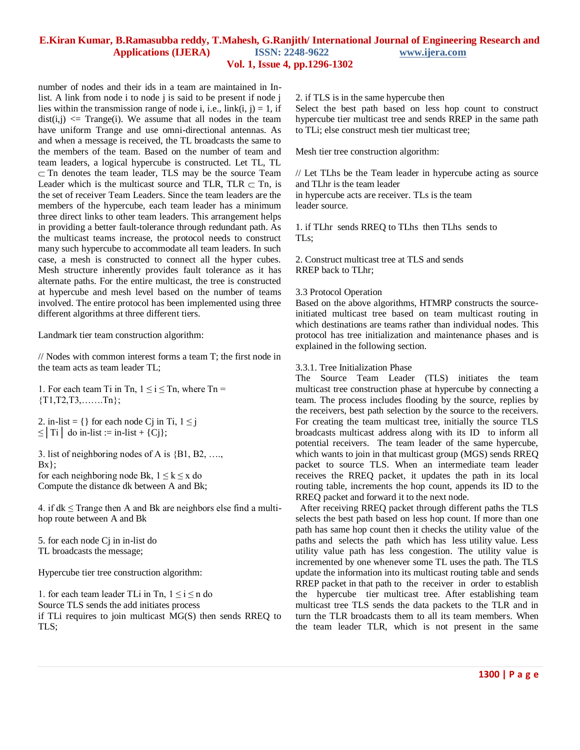number of nodes and their ids in a team are maintained in Inlist. A link from node i to node j is said to be present if node j lies within the transmission range of node i, i.e.,  $link(i, j) = 1$ , if  $dist(i,j) \leq Trange(i)$ . We assume that all nodes in the team have uniform Trange and use omni-directional antennas. As and when a message is received, the TL broadcasts the same to the members of the team. Based on the number of team and team leaders, a logical hypercube is constructed. Let TL, TL  $\subset$  Tn denotes the team leader, TLS may be the source Team Leader which is the multicast source and TLR, TLR  $\subset$  Tn, is the set of receiver Team Leaders. Since the team leaders are the members of the hypercube, each team leader has a minimum three direct links to other team leaders. This arrangement helps in providing a better fault-tolerance through redundant path. As the multicast teams increase, the protocol needs to construct many such hypercube to accommodate all team leaders. In such case, a mesh is constructed to connect all the hyper cubes. Mesh structure inherently provides fault tolerance as it has alternate paths. For the entire multicast, the tree is constructed at hypercube and mesh level based on the number of teams involved. The entire protocol has been implemented using three different algorithms at three different tiers.

Landmark tier team construction algorithm:

// Nodes with common interest forms a team T; the first node in the team acts as team leader TL;

1. For each team Ti in Tn,  $1 \le i \le Tn$ , where Tn =  ${T1,T2,T3,......Tn};$ 

2. in-list = { } for each node Cj in Ti,  $1 \le j$  $\leq$  Ti do in-list := in-list + {Cj};

3. list of neighboring nodes of A is {B1, B2, ….,  $Bx$  }; for each neighboring node Bk,  $1 \le k \le x$  do Compute the distance dk between A and Bk;

4. if  $dk \leq$  Trange then A and Bk are neighbors else find a multihop route between A and Bk

5. for each node Cj in in-list do TL broadcasts the message;

Hypercube tier tree construction algorithm:

1. for each team leader TLi in Tn,  $1 \le i \le n$  do Source TLS sends the add initiates process if TLi requires to join multicast MG(S) then sends RREQ to TLS;

2. if TLS is in the same hypercube then

Select the best path based on less hop count to construct hypercube tier multicast tree and sends RREP in the same path to TLi; else construct mesh tier multicast tree;

Mesh tier tree construction algorithm:

// Let TLhs be the Team leader in hypercube acting as source and TLhr is the team leader

in hypercube acts are receiver. TLs is the team leader source.

1. if TLhr sends RREQ to TLhs then TLhs sends to TLs;

2. Construct multicast tree at TLS and sends RREP back to TLhr;

#### 3.3 Protocol Operation

Based on the above algorithms, HTMRP constructs the sourceinitiated multicast tree based on team multicast routing in which destinations are teams rather than individual nodes. This protocol has tree initialization and maintenance phases and is explained in the following section.

#### 3.3.1. Tree Initialization Phase

The Source Team Leader (TLS) initiates the team multicast tree construction phase at hypercube by connecting a team. The process includes flooding by the source, replies by the receivers, best path selection by the source to the receivers. For creating the team multicast tree, initially the source TLS broadcasts multicast address along with its ID to inform all potential receivers. The team leader of the same hypercube, which wants to join in that multicast group (MGS) sends RREQ packet to source TLS. When an intermediate team leader receives the RREQ packet, it updates the path in its local routing table, increments the hop count, appends its ID to the RREQ packet and forward it to the next node.

 After receiving RREQ packet through different paths the TLS selects the best path based on less hop count. If more than one path has same hop count then it checks the utility value of the paths and selects the path which has less utility value. Less utility value path has less congestion. The utility value is incremented by one whenever some TL uses the path. The TLS update the information into its multicast routing table and sends RREP packet in that path to the receiver in order to establish the hypercube tier multicast tree. After establishing team multicast tree TLS sends the data packets to the TLR and in turn the TLR broadcasts them to all its team members. When the team leader TLR, which is not present in the same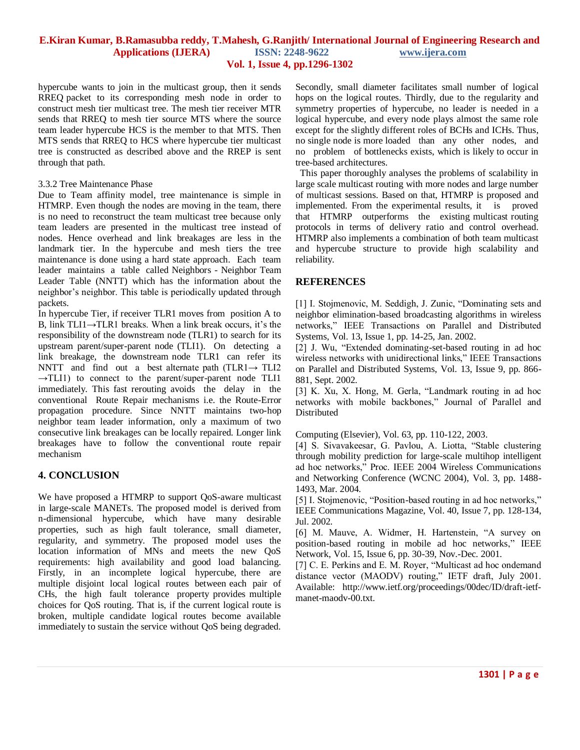hypercube wants to join in the multicast group, then it sends RREQ packet to its corresponding mesh node in order to construct mesh tier multicast tree. The mesh tier receiver MTR sends that RREQ to mesh tier source MTS where the source team leader hypercube HCS is the member to that MTS. Then MTS sends that RREQ to HCS where hypercube tier multicast tree is constructed as described above and the RREP is sent through that path.

#### 3.3.2 Tree Maintenance Phase

Due to Team affinity model, tree maintenance is simple in HTMRP. Even though the nodes are moving in the team, there is no need to reconstruct the team multicast tree because only team leaders are presented in the multicast tree instead of nodes. Hence overhead and link breakages are less in the landmark tier. In the hypercube and mesh tiers the tree maintenance is done using a hard state approach. Each team leader maintains a table called Neighbors - Neighbor Team Leader Table (NNTT) which has the information about the neighbor's neighbor. This table is periodically updated through packets.

In hypercube Tier, if receiver TLR1 moves from position A to B, link  $TLI1 \rightarrow TLR1$  breaks. When a link break occurs, it's the responsibility of the downstream node (TLR1) to search for its upstream parent/super-parent node (TLI1). On detecting a link breakage, the downstream node TLR1 can refer its NNTT and find out a best alternate path (TLR1 $\rightarrow$  TLI2  $\rightarrow$ TLI1) to connect to the parent/super-parent node TLI1 immediately. This fast rerouting avoids the delay in the conventional Route Repair mechanisms i.e. the Route-Error propagation procedure. Since NNTT maintains two-hop neighbor team leader information, only a maximum of two consecutive link breakages can be locally repaired. Longer link breakages have to follow the conventional route repair mechanism

# **4. CONCLUSION**

We have proposed a HTMRP to support QoS-aware multicast in large-scale MANETs. The proposed model is derived from n-dimensional hypercube, which have many desirable properties, such as high fault tolerance, small diameter, regularity, and symmetry. The proposed model uses the location information of MNs and meets the new QoS requirements: high availability and good load balancing. Firstly, in an incomplete logical hypercube, there are multiple disjoint local logical routes between each pair of CHs, the high fault tolerance property provides multiple choices for QoS routing. That is, if the current logical route is broken, multiple candidate logical routes become available immediately to sustain the service without QoS being degraded.

Secondly, small diameter facilitates small number of logical hops on the logical routes. Thirdly, due to the regularity and symmetry properties of hypercube, no leader is needed in a logical hypercube, and every node plays almost the same role except for the slightly different roles of BCHs and ICHs. Thus, no single node is more loaded than any other nodes, and no problem of bottlenecks exists, which is likely to occur in tree-based architectures.

 This paper thoroughly analyses the problems of scalability in large scale multicast routing with more nodes and large number of multicast sessions. Based on that, HTMRP is proposed and implemented. From the experimental results, it is proved that HTMRP outperforms the existing multicast routing protocols in terms of delivery ratio and control overhead. HTMRP also implements a combination of both team multicast and hypercube structure to provide high scalability and reliability.

# **REFERENCES**

[1] I. Stojmenovic, M. Seddigh, J. Zunic, "Dominating sets and neighbor elimination-based broadcasting algorithms in wireless networks," IEEE Transactions on Parallel and Distributed Systems, Vol. 13, Issue 1, pp. 14-25, Jan. 2002.

[2] J. Wu, "Extended dominating-set-based routing in ad hoc wireless networks with unidirectional links," IEEE Transactions on Parallel and Distributed Systems, Vol. 13, Issue 9, pp. 866- 881, Sept. 2002.

[3] K. Xu, X. Hong, M. Gerla, "Landmark routing in ad hoc networks with mobile backbones," Journal of Parallel and Distributed

Computing (Elsevier), Vol. 63, pp. 110-122, 2003.

[4] S. Sivavakeesar, G. Pavlou, A. Liotta, "Stable clustering through mobility prediction for large-scale multihop intelligent ad hoc networks," Proc. IEEE 2004 Wireless Communications and Networking Conference (WCNC 2004), Vol. 3, pp. 1488- 1493, Mar. 2004.

[5] I. Stojmenovic, "Position-based routing in ad hoc networks," IEEE Communications Magazine, Vol. 40, Issue 7, pp. 128-134, Jul. 2002.

[6] M. Mauve, A. Widmer, H. Hartenstein, "A survey on position-based routing in mobile ad hoc networks," IEEE Network, Vol. 15, Issue 6, pp. 30-39, Nov.-Dec. 2001.

[7] C. E. Perkins and E. M. Royer, "Multicast ad hoc ondemand distance vector (MAODV) routing," IETF draft, July 2001. Available: http://www.ietf.org/proceedings/00dec/ID/draft-ietfmanet-maodv-00.txt.